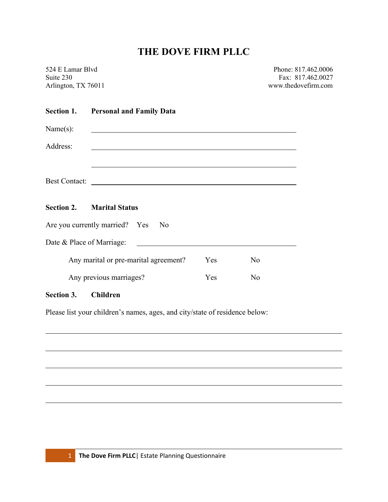# THE DOVE FIRM PLLC

| 524 E Lamar Blvd    |  |
|---------------------|--|
| Suite 230           |  |
| Arlington, TX 76011 |  |

Phone: 817.462.0006 Fax: 817.462.0027 www.thedovefirm.com

### Section 1. Personal and Family Data

| Name(s):                          |  |  |               |  |
|-----------------------------------|--|--|---------------|--|
| Address:                          |  |  |               |  |
|                                   |  |  |               |  |
|                                   |  |  | Best Contact: |  |
|                                   |  |  |               |  |
| <b>Section 2. Marital Status</b>  |  |  |               |  |
| Are you currently married? Yes No |  |  |               |  |
| Date & Place of Marriage:         |  |  |               |  |

| Any marital or pre-marital agreement? | Y es | N٥           |
|---------------------------------------|------|--------------|
| Any previous marriages?               | Yes. | $N_{\Omega}$ |

#### Section 3. Children

Please list your children's names, ages, and city/state of residence below: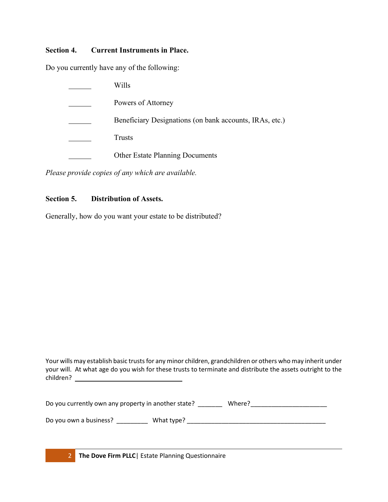#### Section 4. Current Instruments in Place.

Do you currently have any of the following:

| Wills                                                   |
|---------------------------------------------------------|
| Powers of Attorney                                      |
| Beneficiary Designations (on bank accounts, IRAs, etc.) |
| <b>Trusts</b>                                           |
| <b>Other Estate Planning Documents</b>                  |

Please provide copies of any which are available.

## Section 5. Distribution of Assets.

Generally, how do you want your estate to be distributed?

Your wills may establish basic trusts for any minor children, grandchildren or others who may inherit under your will. At what age do you wish for these trusts to terminate and distribute the assets outright to the children?

| Do you currently own any property in another state? |            | Where? |  |
|-----------------------------------------------------|------------|--------|--|
| Do you own a business?                              | What type? |        |  |

2 The Dove Firm PLLC | Estate Planning Questionnaire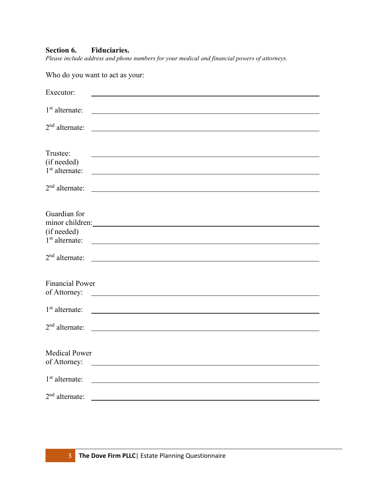## Section 6. Fiduciaries.

Please include address and phone numbers for your medical and financial powers of attorneys.

Who do you want to act as your:

| Executor:                            |                                                                                                                                                                                                                                      |
|--------------------------------------|--------------------------------------------------------------------------------------------------------------------------------------------------------------------------------------------------------------------------------------|
| $1st$ alternate:                     | <u> 1980 - Johann Barn, mars ann an t-Amhain Aonaichte ann an t-Amhain Aonaichte ann an t-Amhain Aonaichte ann an</u>                                                                                                                |
| $2nd$ alternate:                     | <u> 1989 - Johann Stoff, deutscher Stoffen und der Stoffen und der Stoffen und der Stoffen und der Stoffen und der</u>                                                                                                               |
|                                      |                                                                                                                                                                                                                                      |
| Trustee:<br>(if needed)              |                                                                                                                                                                                                                                      |
| $1st$ alternate:                     | <u> 1989 - Johann Barbara, martin amerikan basal dan berasal dalam basal dalam basal dalam basal dalam basal dala</u>                                                                                                                |
| $2nd$ alternate:                     |                                                                                                                                                                                                                                      |
|                                      |                                                                                                                                                                                                                                      |
| Guardian for                         |                                                                                                                                                                                                                                      |
| (if needed)                          | minor children:                                                                                                                                                                                                                      |
| 1 <sup>st</sup> alternate:           | <u>and the contract of the contract of the contract of the contract of the contract of the contract of the contract of</u>                                                                                                           |
| $2nd$ alternate:                     | <u> 1980 - Johann Barn, mars ann an t-Amhain Aonaich an t-Aonaich an t-Aonaich ann an t-Aonaich ann an t-Aonaich</u>                                                                                                                 |
| <b>Financial Power</b>               |                                                                                                                                                                                                                                      |
| of Attorney:                         | <u>and the state of the state of the state of the state of the state of the state of the state of the state of the state of the state of the state of the state of the state of the state of the state of the state of the state</u> |
| $1st$ alternate:                     |                                                                                                                                                                                                                                      |
| $2nd$ alternate:                     |                                                                                                                                                                                                                                      |
|                                      |                                                                                                                                                                                                                                      |
| <b>Medical Power</b><br>of Attorney: |                                                                                                                                                                                                                                      |
| $1st$ alternate:                     |                                                                                                                                                                                                                                      |
| $2nd$ alternate:                     |                                                                                                                                                                                                                                      |